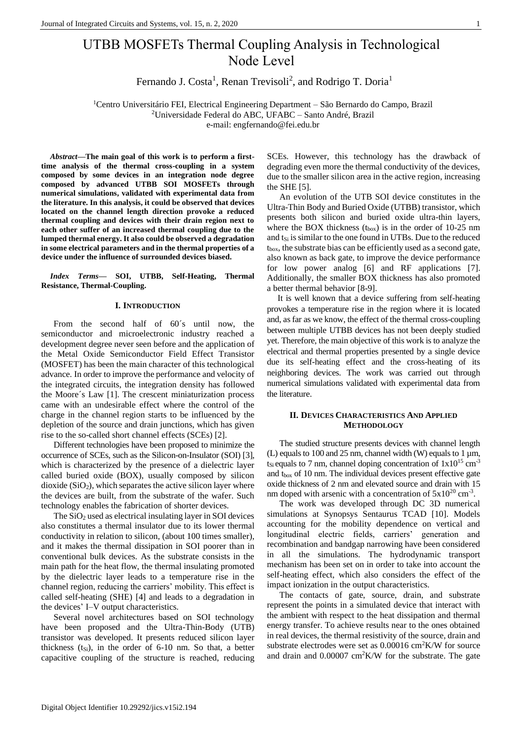# UTBB MOSFETs Thermal Coupling Analysis in Technological Node Level

Fernando J. Costa<sup>1</sup>, Renan Trevisoli<sup>2</sup>, and Rodrigo T. Doria<sup>1</sup>

<sup>1</sup>Centro Universitário FEI, Electrical Engineering Department – São Bernardo do Campo, Brazil <sup>2</sup>Universidade Federal do ABC, UFABC – Santo André, Brazil e-mail: engfernando@fei.edu.br

*Abstract***—The main goal of this work is to perform a firsttime analysis of the thermal cross-coupling in a system composed by some devices in an integration node degree composed by advanced UTBB SOI MOSFETs through numerical simulations, validated with experimental data from the literature. In this analysis, it could be observed that devices located on the channel length direction provoke a reduced thermal coupling and devices with their drain region next to each other suffer of an increased thermal coupling due to the lumped thermal energy. It also could be observed a degradation in some electrical parameters and in the thermal properties of a device under the influence of surrounded devices biased.**

*Index Terms***— SOI, UTBB, Self-Heating, Thermal Resistance, Thermal-Coupling.**

## **I. INTRODUCTION**

From the second half of 60´s until now, the semiconductor and microelectronic industry reached a development degree never seen before and the application of the Metal Oxide Semiconductor Field Effect Transistor (MOSFET) has been the main character of this technological advance. In order to improve the performance and velocity of the integrated circuits, the integration density has followed the Moore´s Law [1]. The crescent miniaturization process came with an undesirable effect where the control of the charge in the channel region starts to be influenced by the depletion of the source and drain junctions, which has given rise to the so-called short channel effects (SCEs) [2].

Different technologies have been proposed to minimize the occurrence of SCEs, such as the Silicon-on-Insulator (SOI) [3], which is characterized by the presence of a dielectric layer called buried oxide (BOX), usually composed by silicon  $dioxide(SiO<sub>2</sub>)$ , which separates the active silicon layer where the devices are built, from the substrate of the wafer. Such technology enables the fabrication of shorter devices.

The  $SiO<sub>2</sub>$  used as electrical insulating layer in SOI devices also constitutes a thermal insulator due to its lower thermal conductivity in relation to silicon, (about 100 times smaller), and it makes the thermal dissipation in SOI poorer than in conventional bulk devices. As the substrate consists in the main path for the heat flow, the thermal insulating promoted by the dielectric layer leads to a temperature rise in the channel region, reducing the carriers' mobility. This effect is called self-heating (SHE) [4] and leads to a degradation in the devices' I–V output characteristics.

Several novel architectures based on SOI technology have been proposed and the Ultra-Thin-Body (UTB) transistor was developed. It presents reduced silicon layer thickness  $(t_{Si})$ , in the order of 6-10 nm. So that, a better capacitive coupling of the structure is reached, reducing SCEs. However, this technology has the drawback of degrading even more the thermal conductivity of the devices, due to the smaller silicon area in the active region, increasing the SHE [5].

An evolution of the UTB SOI device constitutes in the Ultra-Thin Body and Buried Oxide (UTBB) transistor, which presents both silicon and buried oxide ultra-thin layers, where the BOX thickness  $(t_{box})$  is in the order of 10-25 nm and t<sub>Si</sub> is similar to the one found in UTBs. Due to the reduced tbox, the substrate bias can be efficiently used as a second gate, also known as back gate, to improve the device performance for low power analog [6] and RF applications [7]. Additionally, the smaller BOX thickness has also promoted a better thermal behavior [8-9].

It is well known that a device suffering from self-heating provokes a temperature rise in the region where it is located and, as far as we know, the effect of the thermal cross-coupling between multiple UTBB devices has not been deeply studied yet. Therefore, the main objective of this work is to analyze the electrical and thermal properties presented by a single device due its self-heating effect and the cross-heating of its neighboring devices. The work was carried out through numerical simulations validated with experimental data from the literature.

## **II. DEVICES CHARACTERISTICS AND APPLIED METHODOLOGY**

The studied structure presents devices with channel length (L) equals to 100 and 25 nm, channel width (W) equals to 1  $\mu$ m, t<sub>Si</sub> equals to 7 nm, channel doping concentration of  $1x10^{15}$  cm<sup>-3</sup> and  $t_{box}$  of 10 nm. The individual devices present effective gate oxide thickness of 2 nm and elevated source and drain with 15 nm doped with arsenic with a concentration of  $5x10^{20}$  cm<sup>-3</sup>.

The work was developed through DC 3D numerical simulations at Synopsys Sentaurus TCAD [10]. Models accounting for the mobility dependence on vertical and longitudinal electric fields, carriers' generation and recombination and bandgap narrowing have been considered in all the simulations. The hydrodynamic transport mechanism has been set on in order to take into account the self-heating effect, which also considers the effect of the impact ionization in the output characteristics.

The contacts of gate, source, drain, and substrate represent the points in a simulated device that interact with the ambient with respect to the heat dissipation and thermal energy transfer. To achieve results near to the ones obtained in real devices, the thermal resistivity of the source, drain and substrate electrodes were set as  $0.00016 \text{ cm}^2 \text{K/W}$  for source and drain and 0.00007 cm<sup>2</sup>K/W for the substrate. The gate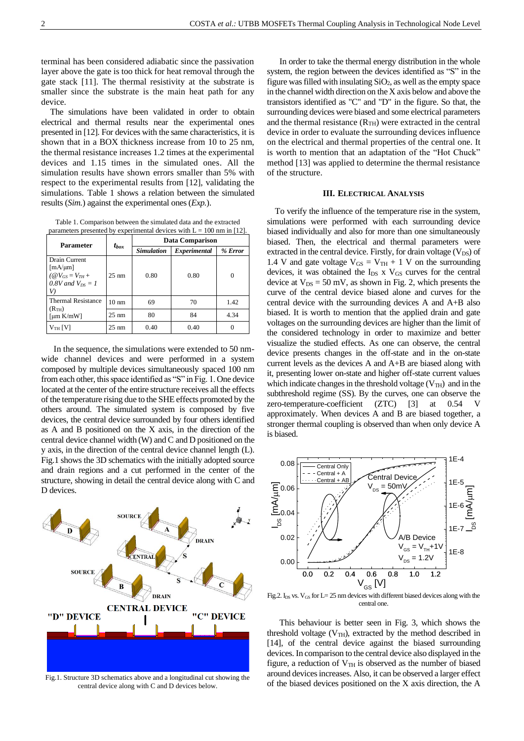terminal has been considered adiabatic since the passivation layer above the gate is too thick for heat removal through the gate stack [11]. The thermal resistivity at the substrate is smaller since the substrate is the main heat path for any device.

The simulations have been validated in order to obtain electrical and thermal results near the experimental ones presented in [12]. For devices with the same characteristics, it is shown that in a BOX thickness increase from 10 to 25 nm, the thermal resistance increases 1.2 times at the experimental devices and 1.15 times in the simulated ones. All the simulation results have shown errors smaller than 5% with respect to the experimental results from [12], validating the simulations. Table 1 shows a relation between the simulated results (*Sim.*) against the experimental ones (*Exp.*).

Table 1. Comparison between the simulated data and the extracted parameters presented by experimental devices with  $L = 100$  nm in [12].

| Parameter                                                                                    | $t_{box}$       | <b>Data Comparison</b> |              |         |
|----------------------------------------------------------------------------------------------|-----------------|------------------------|--------------|---------|
|                                                                                              |                 | <b>Simulation</b>      | Experimental | % Error |
| Drain Current<br>$[mA/\mu m]$<br>$(\mathcal{Q}V_{GS}=V_{TH}+$<br>0.8V and $V_{DS} = 1$<br>V) | $25 \text{ nm}$ | 0.80                   | 0.80         | 0       |
| <b>Thermal Resistance</b><br>(R <sub>TH</sub> )<br>$\lceil \mu m K/mW \rceil$                | $10 \text{ nm}$ | 69                     | 70           | 1.42    |
|                                                                                              | $25 \text{ nm}$ | 80                     | 84           | 4.34    |
| $V_{TH}$ [V]                                                                                 | $25 \text{ nm}$ | 0.40                   | 0.40         | 0       |

In the sequence, the simulations were extended to 50 nmwide channel devices and were performed in a system composed by multiple devices simultaneously spaced 100 nm from each other, this space identified as "S" in Fig. 1. One device located at the center of the entire structure receives all the effects of the temperature rising due to the SHE effects promoted by the others around. The simulated system is composed by five devices, the central device surrounded by four others identified as A and B positioned on the X axis, in the direction of the central device channel width (W) and C and D positioned on the y axis, in the direction of the central device channel length (L). Fig.1 shows the 3D schematics with the initially adopted source and drain regions and a cut performed in the center of the structure, showing in detail the central device along with C and D devices.



Fig.1. Structure 3D schematics above and a longitudinal cut showing the central device along with C and D devices below.

In order to take the thermal energy distribution in the whole system, the region between the devices identified as "S" in the figure was filled with insulating  $SiO<sub>2</sub>$ , as well as the empty space in the channel width direction on the X axis below and above the transistors identified as "C" and "D" in the figure. So that, the surrounding devices were biased and some electrical parameters and the thermal resistance  $(R<sub>TH</sub>)$  were extracted in the central device in order to evaluate the surrounding devices influence on the electrical and thermal properties of the central one. It is worth to mention that an adaptation of the "Hot Chuck" method [13] was applied to determine the thermal resistance of the structure.

#### **III. ELECTRICAL ANALYSIS**

To verify the influence of the temperature rise in the system, simulations were performed with each surrounding device biased individually and also for more than one simultaneously biased. Then, the electrical and thermal parameters were extracted in the central device. Firstly, for drain voltage  $(V_{DS})$  of 1.4 V and gate voltage  $V_{GS} = V_{TH} + 1$  V on the surrounding devices, it was obtained the  $I_{DS}$  x  $V_{GS}$  curves for the central device at  $V_{DS} = 50$  mV, as shown in Fig. 2, which presents the curve of the central device biased alone and curves for the central device with the surrounding devices A and A+B also biased. It is worth to mention that the applied drain and gate voltages on the surrounding devices are higher than the limit of the considered technology in order to maximize and better visualize the studied effects. As one can observe, the central device presents changes in the off-state and in the on-state current levels as the devices A and A+B are biased along with it, presenting lower on-state and higher off-state current values which indicate changes in the threshold voltage ( $V<sub>TH</sub>$ ) and in the subthreshold regime (SS). By the curves, one can observe the zero-temperature-coefficient (ZTC) [3] at 0.54 V approximately. When devices A and B are biased together, a stronger thermal coupling is observed than when only device A is biased.



Fig.2.  $I_{DS}$  vs.  $V_{GS}$  for  $L = 25$  nm devices with different biased devices along with the central one.

This behaviour is better seen in Fig. 3, which shows the threshold voltage  $(V_{TH})$ , extracted by the method described in [14], of the central device against the biased surrounding devices. In comparison to the central device also displayed in the figure, a reduction of  $V<sub>TH</sub>$  is observed as the number of biased around devicesincreases. Also, it can be observed a larger effect of the biased devices positioned on the X axis direction, the A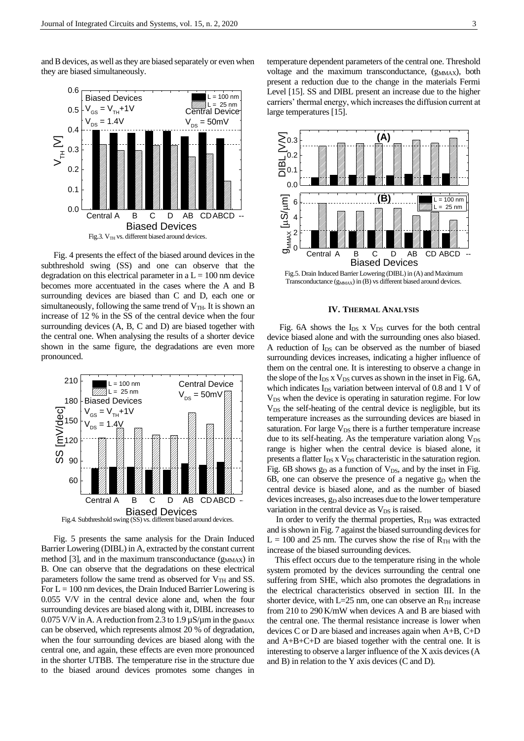and B devices, as well as they are biased separately or even when they are biased simultaneously.



Fig. 4 presents the effect of the biased around devices in the subthreshold swing (SS) and one can observe that the degradation on this electrical parameter in a  $L = 100$  nm device becomes more accentuated in the cases where the A and B surrounding devices are biased than C and D, each one or simultaneously, following the same trend of  $V<sub>TH</sub>$ . It is shown an increase of 12 % in the SS of the central device when the four surrounding devices (A, B, C and D) are biased together with the central one. When analysing the results of a shorter device shown in the same figure, the degradations are even more pronounced.



Fig. 5 presents the same analysis for the Drain Induced Barrier Lowering (DIBL) in A, extracted by the constant current method  $[3]$ , and in the maximum transconductance  $(g_{MMAX})$  in B. One can observe that the degradations on these electrical parameters follow the same trend as observed for  $V<sub>TH</sub>$  and SS. For  $L = 100$  nm devices, the Drain Induced Barrier Lowering is 0.055 V/V in the central device alone and, when the four surrounding devices are biased along with it, DIBL increases to 0.075 V/V in A. A reduction from 2.3 to 1.9  $\mu$ S/ $\mu$ m in the g<sub>MMAX</sub> can be observed, which represents almost 20 % of degradation, when the four surrounding devices are biased along with the central one, and again, these effects are even more pronounced in the shorter UTBB. The temperature rise in the structure due to the biased around devices promotes some changes in

 $\left| \begin{array}{c} 12 - 180 \text{ nm} \\ 1 = 25 \text{ nm} \end{array} \right|$  carriers' thermal energy, which increases the diffusion current at temperature dependent parameters of the central one. Threshold voltage and the maximum transconductance,  $(g_{MMAX})$ , both present a reduction due to the change in the materials Fermi Level [15]. SS and DIBL present an increase due to the higher large temperatures [15].



Transconductance  $(g_{MMAX})$  in (B) vs different biased around devices.

## **IV. THERMAL ANALYSIS**

Fig. 6A shows the  $I_{DS}$  x  $V_{DS}$  curves for the both central device biased alone and with the surrounding ones also biased. A reduction of  $I_{DS}$  can be observed as the number of biased surrounding devices increases, indicating a higher influence of them on the central one. It is interesting to observe a change in the slope of the  $I_{DS}$  x  $V_{DS}$  curves as shown in the inset in Fig. 6A, which indicates  $I_{DS}$  variation between interval of 0.8 and 1 V of V<sub>DS</sub> when the device is operating in saturation regime. For low V<sub>DS</sub> the self-heating of the central device is negligible, but its temperature increases as the surrounding devices are biased in saturation. For large  $V_{DS}$  there is a further temperature increase due to its self-heating. As the temperature variation along  $V_{DS}$ range is higher when the central device is biased alone, it presents a flatter  $I_{DS}$  x  $V_{DS}$  characteristic in the saturation region. Fig. 6B shows  $g_D$  as a function of  $V_{DS}$ , and by the inset in Fig. 6B, one can observe the presence of a negative  $g_D$  when the central device is biased alone, and as the number of biased devices increases, g<sub>D</sub> also increases due to the lower temperature variation in the central device as  $V_{DS}$  is raised.

In order to verify the thermal properties,  $R_{TH}$  was extracted and is shown in Fig. 7 against the biased surrounding devices for  $L = 100$  and 25 nm. The curves show the rise of  $R<sub>TH</sub>$  with the increase of the biased surrounding devices.

This effect occurs due to the temperature rising in the whole system promoted by the devices surrounding the central one suffering from SHE, which also promotes the degradations in the electrical characteristics observed in section III. In the shorter device, with L=25 nm, one can observe an  $R_{TH}$  increase from 210 to 290 K/mW when devices A and B are biased with the central one. The thermal resistance increase is lower when devices C or D are biased and increases again when A+B, C+D and A+B+C+D are biased together with the central one. It is interesting to observe a larger influence of the X axis devices (A and B) in relation to the Y axis devices (C and D).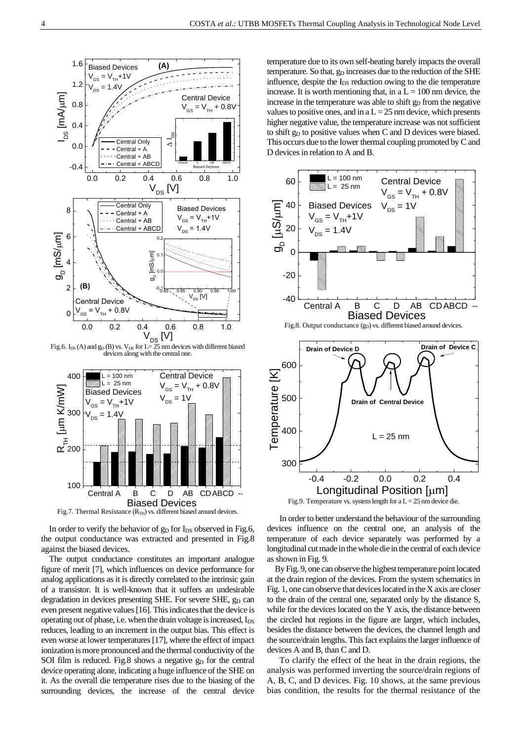

Fig.6. I<sub>DS</sub> (A) and  $g_D$  (B) vs. V<sub>DS</sub> for L= 25 nm devices with different biased devices along with the central one.



Fig.7. Thermal Resistance  $(R<sub>TH</sub>)$  vs. different biased around devices.

In order to verify the behavior of  $g_D$  for  $I_{DS}$  observed in Fig.6, the output conductance was extracted and presented in Fig.8 against the biased devices.

The output conductance constitutes an important analogue figure of merit [7], which influences on device performance for analog applications as it is directly correlated to the intrinsic gain of a transistor. It is well-known that it suffers an undesirable degradation in devices presenting SHE. For severe SHE, g<sub>D</sub> can even present negative values [16]. This indicates that the device is operating out of phase, i.e. when the drain voltage is increased,  $I_{DS}$ reduces, leading to an increment in the output bias. This effect is even worse at lower temperatures [17], where the effect of impact ionization is more pronounced and the thermal conductivity of the SOI film is reduced. Fig.8 shows a negative  $g<sub>D</sub>$  for the central device operating alone, indicating a huge influence of the SHE on it. As the overall die temperature rises due to the biasing of the surrounding devices, the increase of the central device

temperature due to its own self-heating barely impacts the overall temperature. So that,  $g_D$  increases due to the reduction of the SHE influence, despite the  $I_{DS}$  reduction owing to the die temperature increase. It is worth mentioning that, in a  $L = 100$  nm device, the increase in the temperature was able to shift  $g<sub>D</sub>$  from the negative values to positive ones, and in a  $L = 25$  nm device, which presents higher negative value, the temperature increase was not sufficient to shift  $g_D$  to positive values when C and D devices were biased. This occurs due to the lower thermal coupling promoted by C and D devices in relation to A and B.





In order to better understand the behaviour of the surrounding devices influence on the central one, an analysis of the temperature of each device separately was performed by a longitudinal cut made in the whole die in the central of each device as shown in Fig. 9.

By Fig. 9, one can observe the highest temperature point located at the drain region of the devices. From the system schematics in Fig. 1, one can observe that devices located in the X axis are closer to the drain of the central one, separated only by the distance S, while for the devices located on the Y axis, the distance between the circled hot regions in the figure are larger, which includes, besides the distance between the devices, the channel length and the source/drain lengths. This fact explains the larger influence of devices A and B, than C and D.

To clarify the effect of the heat in the drain regions, the analysis was performed inverting the source/drain regions of A, B, C, and D devices. Fig. 10 shows, at the same previous bias condition, the results for the thermal resistance of the